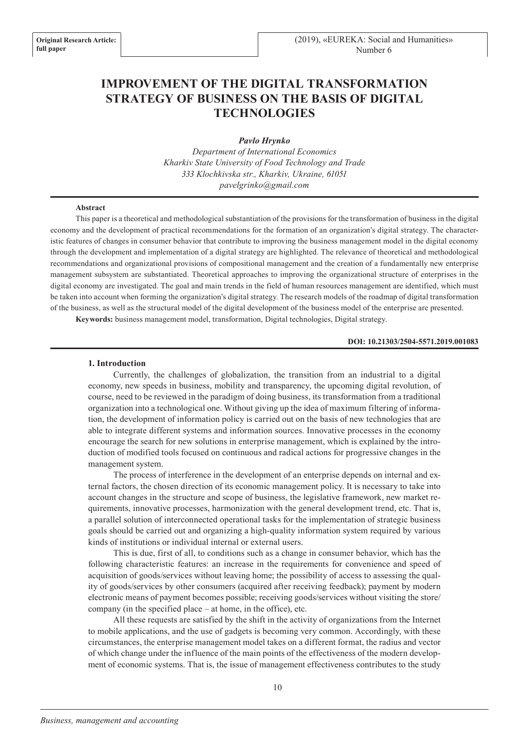# **IMPROVEMENT OF THE DIGITAL TRANSFORMATION STRATEGY OF BUSINESS ON THE BASIS OF DIGITAL TECHNOLOGIES**

*Pavlo Hrynko* 

*Department of International Economics Kharkiv State University of Food Technology and Trade 333 Klochkivska str., Kharkiv, Ukraine, 61051 pavelgrinko@gmail.com*

#### **Abstract**

This paper is a theoretical and methodological substantiation of the provisions for the transformation of business in the digital economy and the development of practical recommendations for the formation of an organization's digital strategy. The characteristic features of changes in consumer behavior that contribute to improving the business management model in the digital economy through the development and implementation of a digital strategy are highlighted. The relevance of theoretical and methodological recommendations and organizational provisions of compositional management and the creation of a fundamentally new enterprise management subsystem are substantiated. Theoretical approaches to improving the organizational structure of enterprises in the digital economy are investigated. The goal and main trends in the field of human resources management are identified, which must be taken into account when forming the organization's digital strategy. The research models of the roadmap of digital transformation of the business, as well as the structural model of the digital development of the business model of the enterprise are presented.

**Keywords:** business management model, transformation, Digital technologies, Digital strategy.

#### **DOI: 10.21303/2504-5571.2019.001083**

### **1. Introduction**

Currently, the challenges of globalization, the transition from an industrial to a digital economy, new speeds in business, mobility and transparency, the upcoming digital revolution, of course, need to be reviewed in the paradigm of doing business, its transformation from a traditional organization into a technological one. Without giving up the idea of maximum filtering of information, the development of information policy is carried out on the basis of new technologies that are able to integrate different systems and information sources. Innovative processes in the economy encourage the search for new solutions in enterprise management, which is explained by the introduction of modified tools focused on continuous and radical actions for progressive changes in the management system.

The process of interference in the development of an enterprise depends on internal and external factors, the chosen direction of its economic management policy. It is necessary to take into account changes in the structure and scope of business, the legislative framework, new market requirements, innovative processes, harmonization with the general development trend, etc. That is, a parallel solution of interconnected operational tasks for the implementation of strategic business goals should be carried out and organizing a high-quality information system required by various kinds of institutions or individual internal or external users.

This is due, first of all, to conditions such as a change in consumer behavior, which has the following characteristic features: an increase in the requirements for convenience and speed of acquisition of goods/services without leaving home; the possibility of access to assessing the quality of goods/services by other consumers (acquired after receiving feedback); payment by modern electronic means of payment becomes possible; receiving goods/services without visiting the store/ company (in the specified place – at home, in the office), etc.

All these requests are satisfied by the shift in the activity of organizations from the Internet to mobile applications, and the use of gadgets is becoming very common. Accordingly, with these circumstances, the enterprise management model takes on a different format, the radius and vector of which change under the influence of the main points of the effectiveness of the modern development of economic systems. That is, the issue of management effectiveness contributes to the study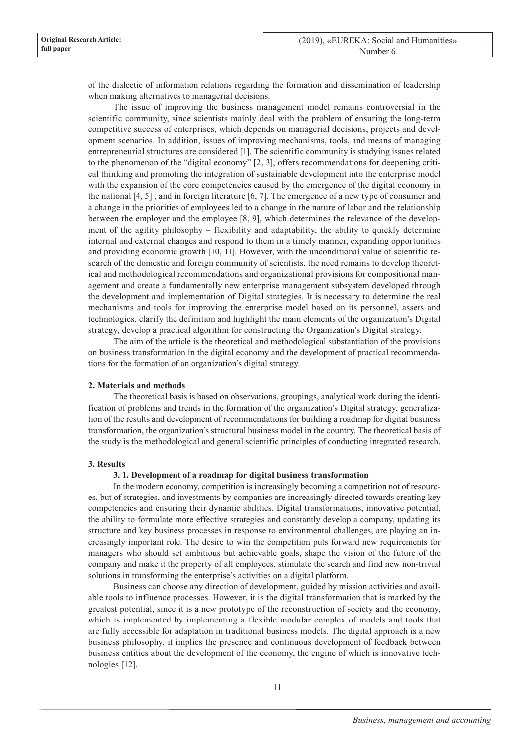of the dialectic of information relations regarding the formation and dissemination of leadership when making alternatives to managerial decisions.

The issue of improving the business management model remains controversial in the scientific community, since scientists mainly deal with the problem of ensuring the long-term competitive success of enterprises, which depends on managerial decisions, projects and development scenarios. In addition, issues of improving mechanisms, tools, and means of managing entrepreneurial structures are considered [1]. The scientific community is studying issues related to the phenomenon of the "digital economy" [2, 3], offers recommendations for deepening critical thinking and promoting the integration of sustainable development into the enterprise model with the expansion of the core competencies caused by the emergence of the digital economy in the national [4, 5] , and in foreign literature [6, 7]. The emergence of a new type of consumer and a change in the priorities of employees led to a change in the nature of labor and the relationship between the employer and the employee [8, 9], which determines the relevance of the development of the agility philosophy – flexibility and adaptability, the ability to quickly determine internal and external changes and respond to them in a timely manner, expanding opportunities and providing economic growth [10, 11]. However, with the unconditional value of scientific research of the domestic and foreign community of scientists, the need remains to develop theoretical and methodological recommendations and organizational provisions for compositional management and create a fundamentally new enterprise management subsystem developed through the development and implementation of Digital strategies. It is necessary to determine the real mechanisms and tools for improving the enterprise model based on its personnel, assets and technologies, clarify the definition and highlight the main elements of the organization's Digital strategy, develop a practical algorithm for constructing the Organization's Digital strategy.

The aim of the article is the theoretical and methodological substantiation of the provisions on business transformation in the digital economy and the development of practical recommendations for the formation of an organization's digital strategy.

## **2. Materials and methods**

The theoretical basis is based on observations, groupings, analytical work during the identification of problems and trends in the formation of the organization's Digital strategy, generalization of the results and development of recommendations for building a roadmap for digital business transformation, the organization's structural business model in the country. The theoretical basis of the study is the methodological and general scientific principles of conducting integrated research.

### **3. Results**

### **3. 1. Development of a roadmap for digital business transformation**

In the modern economy, competition is increasingly becoming a competition not of resources, but of strategies, and investments by companies are increasingly directed towards creating key competencies and ensuring their dynamic abilities. Digital transformations, innovative potential, the ability to formulate more effective strategies and constantly develop a company, updating its structure and key business processes in response to environmental challenges, are playing an increasingly important role. The desire to win the competition puts forward new requirements for managers who should set ambitious but achievable goals, shape the vision of the future of the company and make it the property of all employees, stimulate the search and find new non-trivial solutions in transforming the enterprise's activities on a digital platform.

Business can choose any direction of development, guided by mission activities and available tools to influence processes. However, it is the digital transformation that is marked by the greatest potential, since it is a new prototype of the reconstruction of society and the economy, which is implemented by implementing a flexible modular complex of models and tools that are fully accessible for adaptation in traditional business models. The digital approach is a new business philosophy, it implies the presence and continuous development of feedback between business entities about the development of the economy, the engine of which is innovative technologies [12].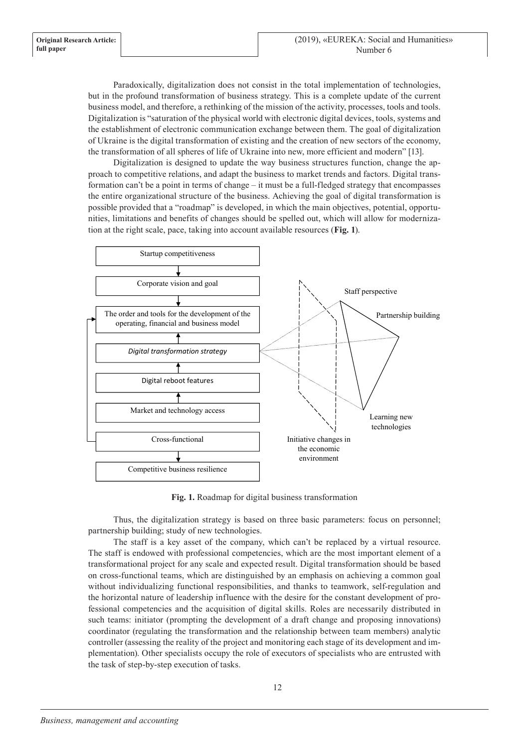Paradoxically, digitalization does not consist in the total implementation of technologies, but in the profound transformation of business strategy. This is a complete update of the current business model, and therefore, a rethinking of the mission of the activity, processes, tools and tools. Digitalization is "saturation of the physical world with electronic digital devices, tools, systems and the establishment of electronic communication exchange between them. The goal of digitalization of Ukraine is the digital transformation of existing and the creation of new sectors of the economy, the transformation of all spheres of life of Ukraine into new, more efficient and modern" [13].

Digitalization is designed to update the way business structures function, change the approach to competitive relations, and adapt the business to market trends and factors. Digital transformation can't be a point in terms of change – it must be a full-fledged strategy that encompasses the entire organizational structure of the business. Achieving the goal of digital transformation is possible provided that a "roadmap" is developed, in which the main objectives, potential, opportunities, limitations and benefits of changes should be spelled out, which will allow for modernization at the right scale, pace, taking into account available resources (**Fig. 1**).



**Fig. 1.** Roadmap for digital business transformation

Thus, the digitalization strategy is based on three basic parameters: focus on personnel; partnership building; study of new technologies.

The staff is a key asset of the company, which can't be replaced by a virtual resource. The staff is endowed with professional competencies, which are the most important element of a transformational project for any scale and expected result. Digital transformation should be based on cross-functional teams, which are distinguished by an emphasis on achieving a common goal without individualizing functional responsibilities, and thanks to teamwork, self-regulation and the horizontal nature of leadership influence with the desire for the constant development of professional competencies and the acquisition of digital skills. Roles are necessarily distributed in such teams: initiator (prompting the development of a draft change and proposing innovations) coordinator (regulating the transformation and the relationship between team members) analytic controller (assessing the reality of the project and monitoring each stage of its development and implementation). Other specialists occupy the role of executors of specialists who are entrusted with the task of step-by-step execution of tasks.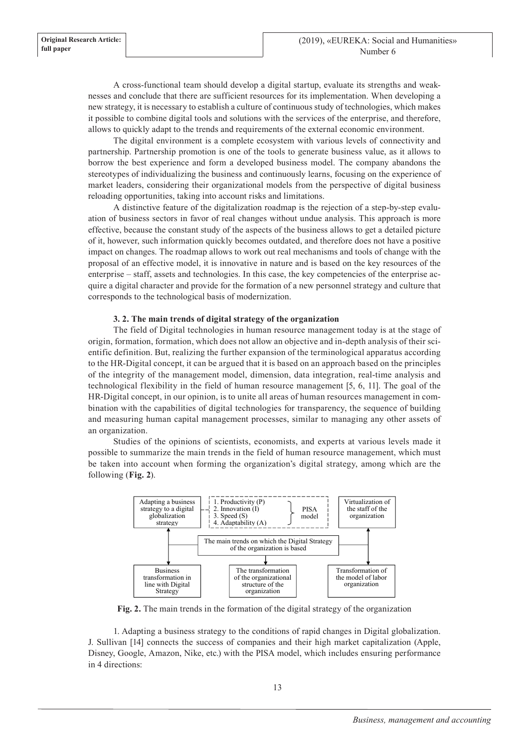A cross-functional team should develop a digital startup, evaluate its strengths and weaknesses and conclude that there are sufficient resources for its implementation. When developing a new strategy, it is necessary to establish a culture of continuous study of technologies, which makes it possible to combine digital tools and solutions with the services of the enterprise, and therefore, allows to quickly adapt to the trends and requirements of the external economic environment.

The digital environment is a complete ecosystem with various levels of connectivity and partnership. Partnership promotion is one of the tools to generate business value, as it allows to borrow the best experience and form a developed business model. The company abandons the stereotypes of individualizing the business and continuously learns, focusing on the experience of market leaders, considering their organizational models from the perspective of digital business reloading opportunities, taking into account risks and limitations.

A distinctive feature of the digitalization roadmap is the rejection of a step-by-step evaluation of business sectors in favor of real changes without undue analysis. This approach is more effective, because the constant study of the aspects of the business allows to get a detailed picture of it, however, such information quickly becomes outdated, and therefore does not have a positive impact on changes. The roadmap allows to work out real mechanisms and tools of change with the proposal of an effective model, it is innovative in nature and is based on the key resources of the enterprise – staff, assets and technologies. In this case, the key competencies of the enterprise acquire a digital character and provide for the formation of a new personnel strategy and culture that corresponds to the technological basis of modernization.

## **3. 2. The main trends of digital strategy of the organization**

The field of Digital technologies in human resource management today is at the stage of origin, formation, formation, which does not allow an objective and in-depth analysis of their scientific definition. But, realizing the further expansion of the terminological apparatus according to the HR-Digital concept, it can be argued that it is based on an approach based on the principles of the integrity of the management model, dimension, data integration, real-time analysis and technological flexibility in the field of human resource management [5, 6, 11]. The goal of the HR-Digital concept, in our opinion, is to unite all areas of human resources management in combination with the capabilities of digital technologies for transparency, the sequence of building and measuring human capital management processes, similar to managing any other assets of an organization.

Studies of the opinions of scientists, economists, and experts at various levels made it possible to summarize the main trends in the field of human resource management, which must be taken into account when forming the organization's digital strategy, among which are the following (**Fig. 2**).



**Fig. 2.** The main trends in the formation of the digital strategy of the organization

1. Adapting a business strategy to the conditions of rapid changes in Digital globalization. J. Sullivan [14] connects the success of companies and their high market capitalization (Apple, Disney, Google, Amazon, Nike, etc.) with the PISA model, which includes ensuring performance in 4 directions: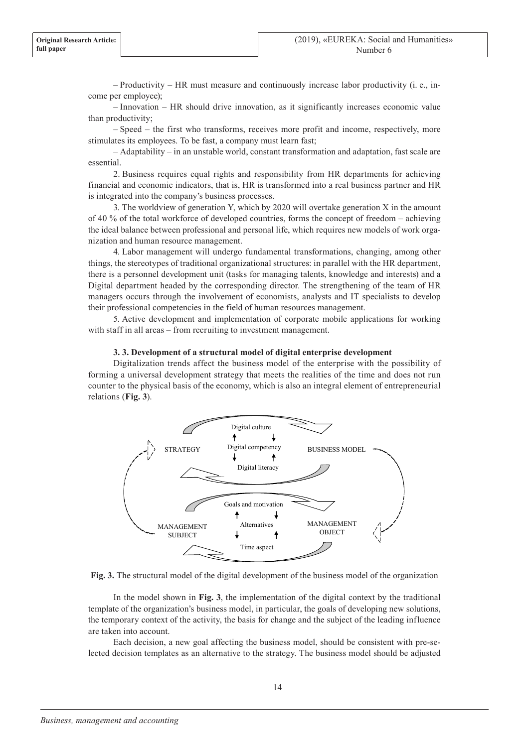– Productivity – HR must measure and continuously increase labor productivity (i. e., income per employee);

– Innovation – HR should drive innovation, as it significantly increases economic value than productivity;

– Speed – the first who transforms, receives more profit and income, respectively, more stimulates its employees. To be fast, a company must learn fast;

– Adaptability – in an unstable world, constant transformation and adaptation, fast scale are essential.

2. Business requires equal rights and responsibility from HR departments for achieving financial and economic indicators, that is, HR is transformed into a real business partner and HR is integrated into the company's business processes.

3. The worldview of generation Y, which by 2020 will overtake generation X in the amount of 40 % of the total workforce of developed countries, forms the concept of freedom – achieving the ideal balance between professional and personal life, which requires new models of work organization and human resource management.

4. Labor management will undergo fundamental transformations, changing, among other things, the stereotypes of traditional organizational structures: in parallel with the HR department, there is a personnel development unit (tasks for managing talents, knowledge and interests) and a Digital department headed by the corresponding director. The strengthening of the team of HR managers occurs through the involvement of economists, analysts and IT specialists to develop their professional competencies in the field of human resources management.

5. Active development and implementation of corporate mobile applications for working with staff in all areas – from recruiting to investment management.

#### **3. 3. Development of a structural model of digital enterprise development**

Digitalization trends affect the business model of the enterprise with the possibility of forming a universal development strategy that meets the realities of the time and does not run counter to the physical basis of the economy, which is also an integral element of entrepreneurial relations (**Fig. 3**).



**Fig. 3.** The structural model of the digital development of the business model of the organization

In the model shown in **Fig. 3**, the implementation of the digital context by the traditional template of the organization's business model, in particular, the goals of developing new solutions, the temporary context of the activity, the basis for change and the subject of the leading influence are taken into account.

Each decision, a new goal affecting the business model, should be consistent with pre-selected decision templates as an alternative to the strategy. The business model should be adjusted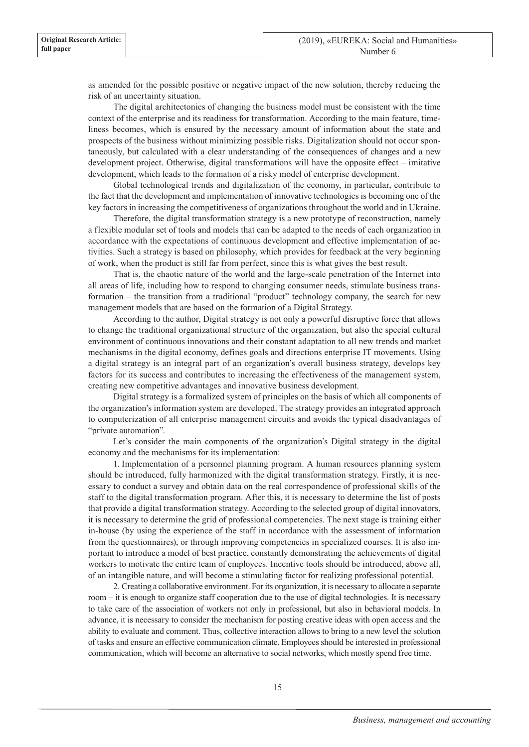as amended for the possible positive or negative impact of the new solution, thereby reducing the risk of an uncertainty situation.

The digital architectonics of changing the business model must be consistent with the time context of the enterprise and its readiness for transformation. According to the main feature, timeliness becomes, which is ensured by the necessary amount of information about the state and prospects of the business without minimizing possible risks. Digitalization should not occur spontaneously, but calculated with a clear understanding of the consequences of changes and a new development project. Otherwise, digital transformations will have the opposite effect – imitative development, which leads to the formation of a risky model of enterprise development.

Global technological trends and digitalization of the economy, in particular, contribute to the fact that the development and implementation of innovative technologies is becoming one of the key factors in increasing the competitiveness of organizations throughout the world and in Ukraine.

Therefore, the digital transformation strategy is a new prototype of reconstruction, namely a flexible modular set of tools and models that can be adapted to the needs of each organization in accordance with the expectations of continuous development and effective implementation of activities. Such a strategy is based on philosophy, which provides for feedback at the very beginning of work, when the product is still far from perfect, since this is what gives the best result.

That is, the chaotic nature of the world and the large-scale penetration of the Internet into all areas of life, including how to respond to changing consumer needs, stimulate business transformation – the transition from a traditional "product" technology company, the search for new management models that are based on the formation of a Digital Strategy.

According to the author, Digital strategy is not only a powerful disruptive force that allows to change the traditional organizational structure of the organization, but also the special cultural environment of continuous innovations and their constant adaptation to all new trends and market mechanisms in the digital economy, defines goals and directions enterprise IT movements. Using a digital strategy is an integral part of an organization's overall business strategy, develops key factors for its success and contributes to increasing the effectiveness of the management system, creating new competitive advantages and innovative business development.

Digital strategy is a formalized system of principles on the basis of which all components of the organization's information system are developed. The strategy provides an integrated approach to computerization of all enterprise management circuits and avoids the typical disadvantages of "private automation".

Let's consider the main components of the organization's Digital strategy in the digital economy and the mechanisms for its implementation:

1. Implementation of a personnel planning program. A human resources planning system should be introduced, fully harmonized with the digital transformation strategy. Firstly, it is necessary to conduct a survey and obtain data on the real correspondence of professional skills of the staff to the digital transformation program. After this, it is necessary to determine the list of posts that provide a digital transformation strategy. According to the selected group of digital innovators, it is necessary to determine the grid of professional competencies. The next stage is training either in-house (by using the experience of the staff in accordance with the assessment of information from the questionnaires), or through improving competencies in specialized courses. It is also important to introduce a model of best practice, constantly demonstrating the achievements of digital workers to motivate the entire team of employees. Incentive tools should be introduced, above all, of an intangible nature, and will become a stimulating factor for realizing professional potential.

2. Creating a collaborative environment. For its organization, it is necessary to allocate a separate room – it is enough to organize staff cooperation due to the use of digital technologies. It is necessary to take care of the association of workers not only in professional, but also in behavioral models. In advance, it is necessary to consider the mechanism for posting creative ideas with open access and the ability to evaluate and comment. Thus, collective interaction allows to bring to a new level the solution of tasks and ensure an effective communication climate. Employees should be interested in professional communication, which will become an alternative to social networks, which mostly spend free time.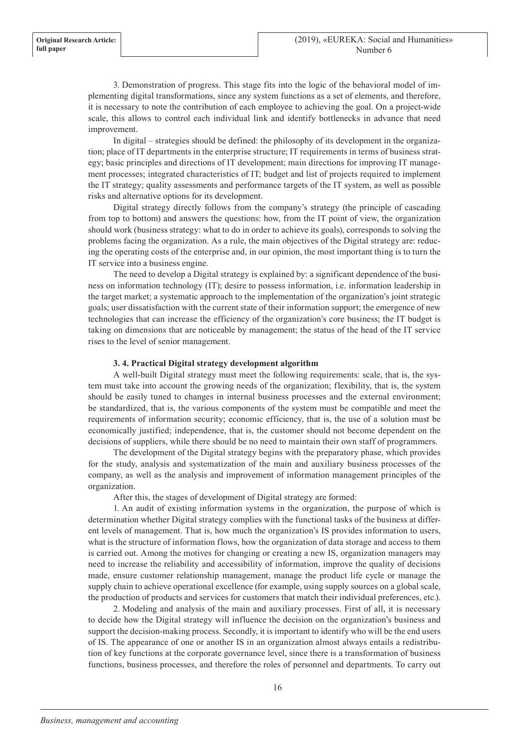3. Demonstration of progress. This stage fits into the logic of the behavioral model of implementing digital transformations, since any system functions as a set of elements, and therefore, it is necessary to note the contribution of each employee to achieving the goal. On a project-wide scale, this allows to control each individual link and identify bottlenecks in advance that need improvement.

In digital – strategies should be defined: the philosophy of its development in the organization; place of IT departments in the enterprise structure; IT requirements in terms of business strategy; basic principles and directions of IT development; main directions for improving IT management processes; integrated characteristics of IT; budget and list of projects required to implement the IT strategy; quality assessments and performance targets of the IT system, as well as possible risks and alternative options for its development.

Digital strategy directly follows from the company's strategy (the principle of cascading from top to bottom) and answers the questions: how, from the IT point of view, the organization should work (business strategy: what to do in order to achieve its goals), corresponds to solving the problems facing the organization. As a rule, the main objectives of the Digital strategy are: reducing the operating costs of the enterprise and, in our opinion, the most important thing is to turn the IT service into a business engine.

The need to develop a Digital strategy is explained by: a significant dependence of the business on information technology (IT); desire to possess information, i.e. information leadership in the target market; a systematic approach to the implementation of the organization's joint strategic goals; user dissatisfaction with the current state of their information support; the emergence of new technologies that can increase the efficiency of the organization's core business; the IT budget is taking on dimensions that are noticeable by management; the status of the head of the IT service rises to the level of senior management.

## **3. 4. Practical Digital strategy development algorithm**

A well-built Digital strategy must meet the following requirements: scale, that is, the system must take into account the growing needs of the organization; flexibility, that is, the system should be easily tuned to changes in internal business processes and the external environment; be standardized, that is, the various components of the system must be compatible and meet the requirements of information security; economic efficiency, that is, the use of a solution must be economically justified; independence, that is, the customer should not become dependent on the decisions of suppliers, while there should be no need to maintain their own staff of programmers.

The development of the Digital strategy begins with the preparatory phase, which provides for the study, analysis and systematization of the main and auxiliary business processes of the company, as well as the analysis and improvement of information management principles of the organization.

After this, the stages of development of Digital strategy are formed:

1. An audit of existing information systems in the organization, the purpose of which is determination whether Digital strategy complies with the functional tasks of the business at different levels of management. That is, how much the organization's IS provides information to users, what is the structure of information flows, how the organization of data storage and access to them is carried out. Among the motives for changing or creating a new IS, organization managers may need to increase the reliability and accessibility of information, improve the quality of decisions made, ensure customer relationship management, manage the product life cycle or manage the supply chain to achieve operational excellence (for example, using supply sources on a global scale, the production of products and services for customers that match their individual preferences, etc.).

2. Modeling and analysis of the main and auxiliary processes. First of all, it is necessary to decide how the Digital strategy will influence the decision on the organization's business and support the decision-making process. Secondly, it is important to identify who will be the end users of IS. The appearance of one or another IS in an organization almost always entails a redistribution of key functions at the corporate governance level, since there is a transformation of business functions, business processes, and therefore the roles of personnel and departments. To carry out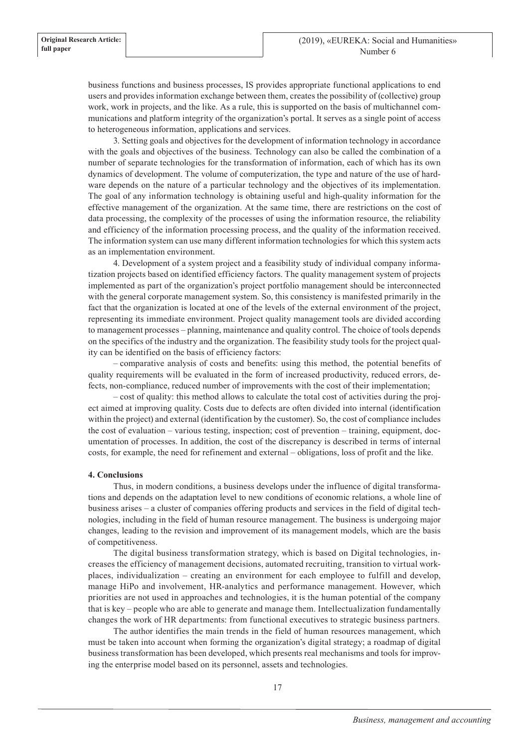business functions and business processes, IS provides appropriate functional applications to end users and provides information exchange between them, creates the possibility of (collective) group work, work in projects, and the like. As a rule, this is supported on the basis of multichannel communications and platform integrity of the organization's portal. It serves as a single point of access to heterogeneous information, applications and services.

3. Setting goals and objectives for the development of information technology in accordance with the goals and objectives of the business. Technology can also be called the combination of a number of separate technologies for the transformation of information, each of which has its own dynamics of development. The volume of computerization, the type and nature of the use of hardware depends on the nature of a particular technology and the objectives of its implementation. The goal of any information technology is obtaining useful and high-quality information for the effective management of the organization. At the same time, there are restrictions on the cost of data processing, the complexity of the processes of using the information resource, the reliability and efficiency of the information processing process, and the quality of the information received. The information system can use many different information technologies for which this system acts as an implementation environment.

4. Development of a system project and a feasibility study of individual company informatization projects based on identified efficiency factors. The quality management system of projects implemented as part of the organization's project portfolio management should be interconnected with the general corporate management system. So, this consistency is manifested primarily in the fact that the organization is located at one of the levels of the external environment of the project, representing its immediate environment. Project quality management tools are divided according to management processes – planning, maintenance and quality control. The choice of tools depends on the specifics of the industry and the organization. The feasibility study tools for the project quality can be identified on the basis of efficiency factors:

– comparative analysis of costs and benefits: using this method, the potential benefits of quality requirements will be evaluated in the form of increased productivity, reduced errors, defects, non-compliance, reduced number of improvements with the cost of their implementation;

– cost of quality: this method allows to calculate the total cost of activities during the project aimed at improving quality. Costs due to defects are often divided into internal (identification within the project) and external (identification by the customer). So, the cost of compliance includes the cost of evaluation – various testing, inspection; cost of prevention – training, equipment, documentation of processes. In addition, the cost of the discrepancy is described in terms of internal costs, for example, the need for refinement and external – obligations, loss of profit and the like.

## **4. Conclusions**

Thus, in modern conditions, a business develops under the influence of digital transformations and depends on the adaptation level to new conditions of economic relations, a whole line of business arises – a cluster of companies offering products and services in the field of digital technologies, including in the field of human resource management. The business is undergoing major changes, leading to the revision and improvement of its management models, which are the basis of competitiveness.

The digital business transformation strategy, which is based on Digital technologies, increases the efficiency of management decisions, automated recruiting, transition to virtual workplaces, individualization – creating an environment for each employee to fulfill and develop, manage HiPo and involvement, HR-analytics and performance management. However, which priorities are not used in approaches and technologies, it is the human potential of the company that is key – people who are able to generate and manage them. Intellectualization fundamentally changes the work of HR departments: from functional executives to strategic business partners.

The author identifies the main trends in the field of human resources management, which must be taken into account when forming the organization's digital strategy; a roadmap of digital business transformation has been developed, which presents real mechanisms and tools for improving the enterprise model based on its personnel, assets and technologies.